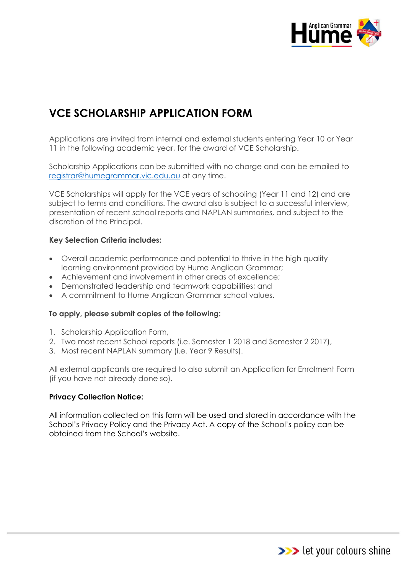

# **VCE SCHOLARSHIP APPLICATION FORM**

Applications are invited from internal and external students entering Year 10 or Year 11 in the following academic year, for the award of VCE Scholarship.

Scholarship Applications can be submitted with no charge and can be emailed to [registrar@humegrammar.vic.edu.au](mailto:registrar@humegrammar.vic.edu.au) at any time.

VCE Scholarships will apply for the VCE years of schooling (Year 11 and 12) and are subject to terms and conditions. The award also is subject to a successful interview, presentation of recent school reports and NAPLAN summaries, and subject to the discretion of the Principal.

#### **Key Selection Criteria includes:**

- Overall academic performance and potential to thrive in the high quality learning environment provided by Hume Anglican Grammar;
- Achievement and involvement in other areas of excellence;
- Demonstrated leadership and teamwork capabilities; and
- A commitment to Hume Anglican Grammar school values.

#### **To apply, please submit copies of the following:**

- 1. Scholarship Application Form,
- 2. Two most recent School reports (i.e. Semester 1 2018 and Semester 2 2017),
- 3. Most recent NAPLAN summary (i.e. Year 9 Results).

All external applicants are required to also submit an Application for Enrolment Form (if you have not already done so).

#### **Privacy Collection Notice:**

All information collected on this form will be used and stored in accordance with the School's Privacy Policy and the Privacy Act. A copy of the School's policy can be obtained from the School's website.